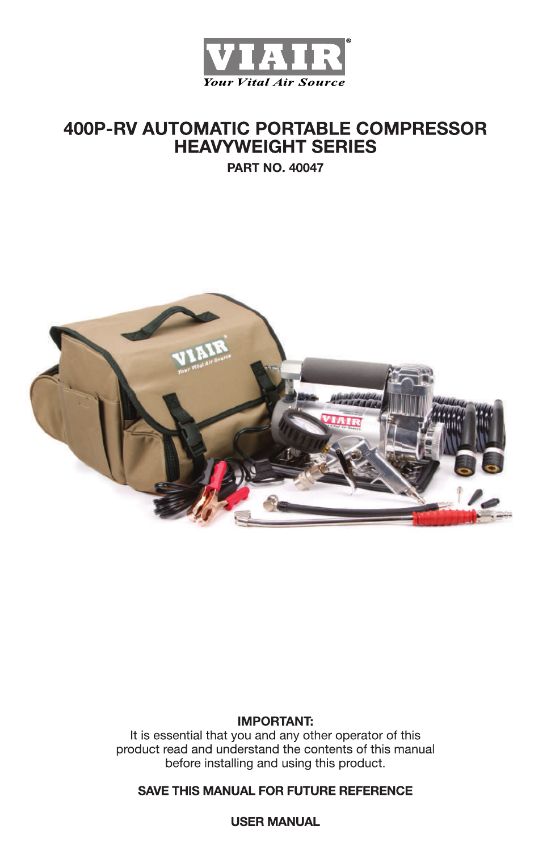

# **400P-RV AUTOMATIC PORTABLE COMPRESSOR HEAVYWEIGHT SERIES**

**PART NO. 40047** 



### **IMPORTANT:**

It is essential that you and any other operator of this product read and understand the contents of this manual before installing and using this product.

### **SAVE THIS MANUAL FOR FUTURE REFERENCE**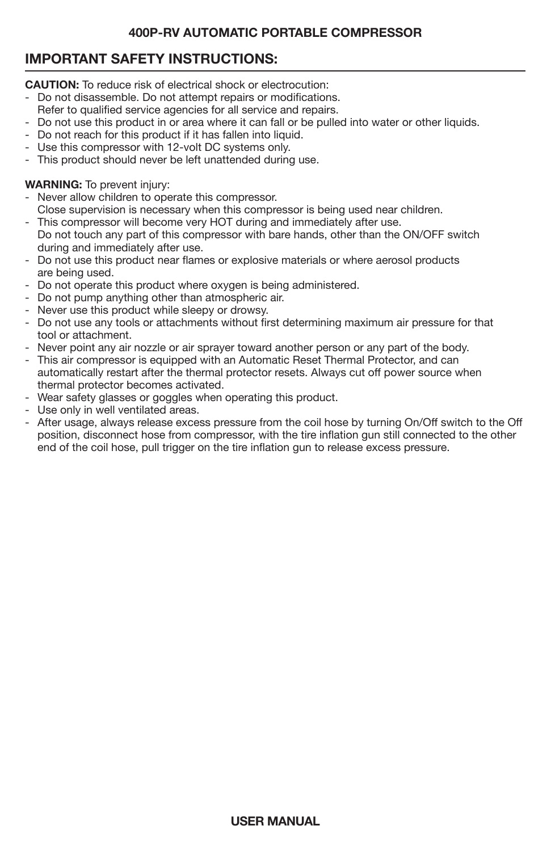## **IMPORTANT SAFETY INSTRUCTIONS:**

**CAUTION:** To reduce risk of electrical shock or electrocution:

- Do not disassemble. Do not attempt repairs or modifications.
- Refer to qualified service agencies for all service and repairs.
- Do not use this product in or area where it can fall or be pulled into water or other liquids.
- Do not reach for this product if it has fallen into liquid.
- Use this compressor with 12-volt DC systems only.
- This product should never be left unattended during use.

### **WARNING:** To prevent injury:

- Never allow children to operate this compressor.
- Close supervision is necessary when this compressor is being used near children.
- This compressor will become very HOT during and immediately after use. Do not touch any part of this compressor with bare hands, other than the ON/OFF switch during and immediately after use.
- Do not use this product near flames or explosive materials or where aerosol products are being used.
- Do not operate this product where oxygen is being administered.
- Do not pump anything other than atmospheric air.
- Never use this product while sleepy or drowsy.
- Do not use any tools or attachments without first determining maximum air pressure for that tool or attachment.
- Never point any air nozzle or air sprayer toward another person or any part of the body.
- This air compressor is equipped with an Automatic Reset Thermal Protector, and can automatically restart after the thermal protector resets. Always cut off power source when thermal protector becomes activated.
- Wear safety glasses or goggles when operating this product.
- Use only in well ventilated areas.
- After usage, always release excess pressure from the coil hose by turning On/Off switch to the Off position, disconnect hose from compressor, with the tire inflation gun still connected to the other end of the coil hose, pull trigger on the tire inflation gun to release excess pressure.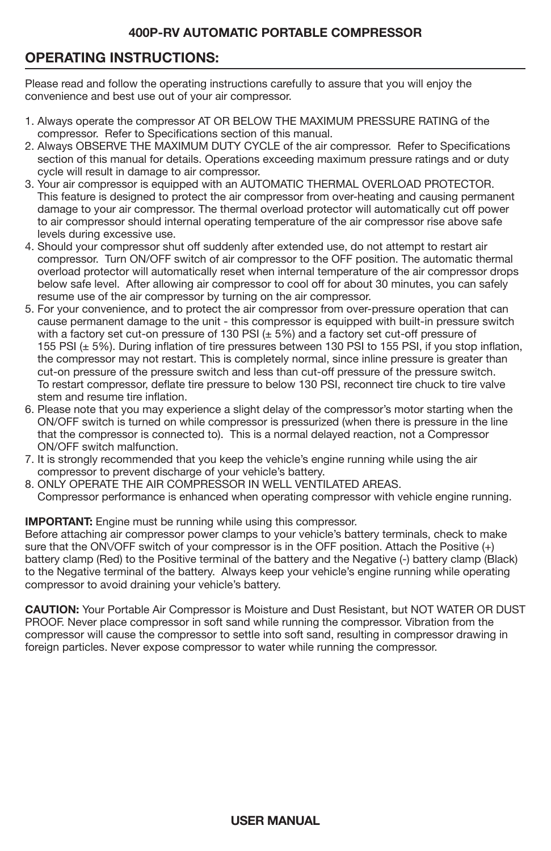## **OPERATING INSTRUCTIONS:**

Please read and follow the operating instructions carefully to assure that you will enjoy the convenience and best use out of your air compressor.

- 1. Always operate the compressor AT OR BELOW THE MAXIMUM PRESSURE RATING of the compressor. Refer to Specifications section of this manual.
- 2. Always OBSERVE THE MAXIMUM DUTY CYCLE of the air compressor. Refer to Specifications section of this manual for details. Operations exceeding maximum pressure ratings and or duty cycle will result in damage to air compressor.
- 3. Your air compressor is equipped with an AUTOMATIC THERMAL OVERLOAD PROTECTOR. This feature is designed to protect the air compressor from over-heating and causing permanent damage to your air compressor. The thermal overload protector will automatically cut off power to air compressor should internal operating temperature of the air compressor rise above safe levels during excessive use.
- 4. Should your compressor shut off suddenly after extended use, do not attempt to restart air compressor. Turn ON/OFF switch of air compressor to the OFF position. The automatic thermal overload protector will automatically reset when internal temperature of the air compressor drops below safe level. After allowing air compressor to cool off for about 30 minutes, you can safely resume use of the air compressor by turning on the air compressor.
- 5. For your convenience, and to protect the air compressor from over-pressure operation that can cause permanent damage to the unit - this compressor is equipped with built-in pressure switch with a factory set cut-on pressure of 130 PSI  $(\pm 5%)$  and a factory set cut-off pressure of 155 PSI (± 5%). During inflation of tire pressures between 130 PSI to 155 PSI, if you stop inflation, the compressor may not restart. This is completely normal, since inline pressure is greater than cut-on pressure of the pressure switch and less than cut-off pressure of the pressure switch. To restart compressor, deflate tire pressure to below 130 PSI, reconnect tire chuck to tire valve stem and resume tire inflation.
- 6. Please note that you may experience a slight delay of the compressor's motor starting when the ON/OFF switch is turned on while compressor is pressurized (when there is pressure in the line that the compressor is connected to). This is a normal delayed reaction, not a Compressor ON/OFF switch malfunction.
- 7. It is strongly recommended that you keep the vehicle's engine running while using the air compressor to prevent discharge of your vehicle's battery.
- 8. ONLY OPERATE THE AIR COMPRESSOR IN WELL VENTILATED AREAS. Compressor performance is enhanced when operating compressor with vehicle engine running.

#### **IMPORTANT:** Engine must be running while using this compressor.

Before attaching air compressor power clamps to your vehicle's battery terminals, check to make sure that the ONVOFF switch of your compressor is in the OFF position. Attach the Positive (+) battery clamp (Red) to the Positive terminal of the battery and the Negative (-) battery clamp (Black) to the Negative terminal of the battery. Always keep your vehicle's engine running while operating compressor to avoid draining your vehicle's battery.

**CAUTION:** Your Portable Air Compressor is Moisture and Dust Resistant, but NOT WATER OR DUST PROOF. Never place compressor in soft sand while running the compressor. Vibration from the compressor will cause the compressor to settle into soft sand, resulting in compressor drawing in foreign particles. Never expose compressor to water while running the compressor.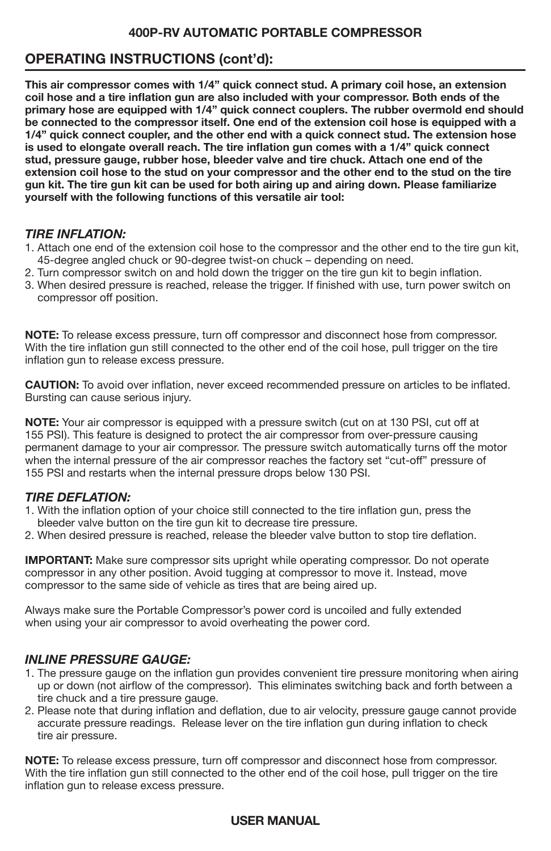## **OPERATING INSTRUCTIONS (cont'd):**

**This air compressor comes with 1/4" quick connect stud. A primary coil hose, an extension coil hose and a tire inflation gun are also included with your compressor. Both ends of the primary hose are equipped with 1/4" quick connect couplers. The rubber overmold end should be connected to the compressor itself. One end of the extension coil hose is equipped with a 1/4" quick connect coupler, and the other end with a quick connect stud. The extension hose is used to elongate overall reach. The tire inflation gun comes with a 1/4" quick connect stud, pressure gauge, rubber hose, bleeder valve and tire chuck. Attach one end of the extension coil hose to the stud on your compressor and the other end to the stud on the tire gun kit. The tire gun kit can be used for both airing up and airing down. Please familiarize yourself with the following functions of this versatile air tool:**

### *TIRE INFLATION:*

- 1. Attach one end of the extension coil hose to the compressor and the other end to the tire gun kit, 45-degree angled chuck or 90-degree twist-on chuck – depending on need.
- 2. Turn compressor switch on and hold down the trigger on the tire gun kit to begin inflation.
- 3. When desired pressure is reached, release the trigger. If finished with use, turn power switch on compressor off position.

**NOTE:** To release excess pressure, turn off compressor and disconnect hose from compressor. With the tire inflation gun still connected to the other end of the coil hose, pull trigger on the tire inflation gun to release excess pressure.

**CAUTION:** To avoid over inflation, never exceed recommended pressure on articles to be inflated. Bursting can cause serious injury.

**NOTE:** Your air compressor is equipped with a pressure switch (cut on at 130 PSI, cut off at 155 PSI). This feature is designed to protect the air compressor from over-pressure causing permanent damage to your air compressor. The pressure switch automatically turns off the motor when the internal pressure of the air compressor reaches the factory set "cut-off" pressure of 155 PSI and restarts when the internal pressure drops below 130 PSI.

#### *TIRE DEFLATION:*

- 1. With the inflation option of your choice still connected to the tire inflation gun, press the bleeder valve button on the tire gun kit to decrease tire pressure.
- 2. When desired pressure is reached, release the bleeder valve button to stop tire deflation.

**IMPORTANT:** Make sure compressor sits upright while operating compressor. Do not operate compressor in any other position. Avoid tugging at compressor to move it. Instead, move compressor to the same side of vehicle as tires that are being aired up.

Always make sure the Portable Compressor's power cord is uncoiled and fully extended when using your air compressor to avoid overheating the power cord.

### *INLINE PRESSURE GAUGE:*

- 1. The pressure gauge on the inflation gun provides convenient tire pressure monitoring when airing up or down (not airflow of the compressor). This eliminates switching back and forth between a tire chuck and a tire pressure gauge.
- 2. Please note that during inflation and deflation, due to air velocity, pressure gauge cannot provide accurate pressure readings. Release lever on the tire inflation gun during inflation to check tire air pressure.

**NOTE:** To release excess pressure, turn off compressor and disconnect hose from compressor. With the tire inflation gun still connected to the other end of the coil hose, pull trigger on the tire inflation gun to release excess pressure.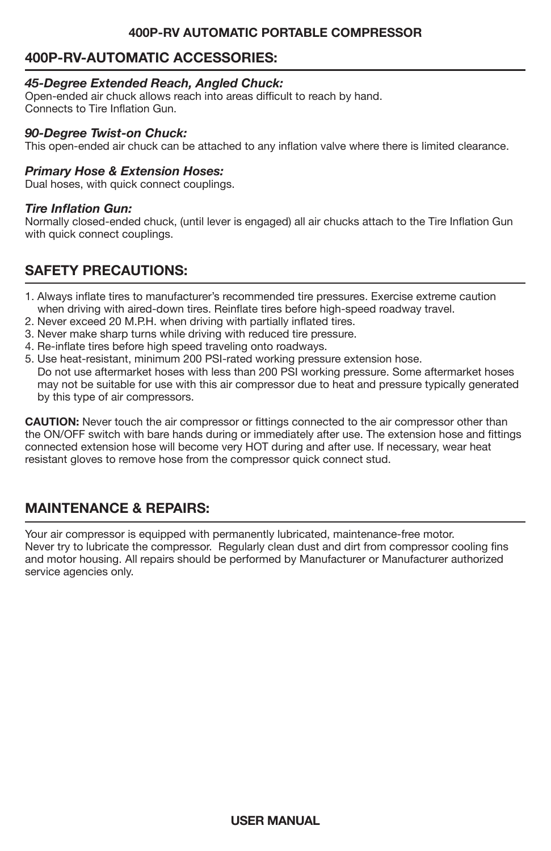## **400P-RV-AUTOMATIC ACCESSORIES:**

### *45-Degree Extended Reach, Angled Chuck:*

Open-ended air chuck allows reach into areas difficult to reach by hand. Connects to Tire Inflation Gun.

#### *90-Degree Twist-on Chuck:*

This open-ended air chuck can be attached to any inflation valve where there is limited clearance.

#### *Primary Hose & Extension Hoses:*

Dual hoses, with quick connect couplings.

### *Tire Inflation Gun:*

Normally closed-ended chuck, (until lever is engaged) all air chucks attach to the Tire Inflation Gun with quick connect couplings.

## **SAFETY PRECAUTIONS:**

- 1. Always inflate tires to manufacturer's recommended tire pressures. Exercise extreme caution when driving with aired-down tires. Reinflate tires before high-speed roadway travel.
- 2. Never exceed 20 M.P.H. when driving with partially inflated tires.
- 3. Never make sharp turns while driving with reduced tire pressure.
- 4. Re-inflate tires before high speed traveling onto roadways.
- 5. Use heat-resistant, minimum 200 PSI-rated working pressure extension hose. Do not use aftermarket hoses with less than 200 PSI working pressure. Some aftermarket hoses may not be suitable for use with this air compressor due to heat and pressure typically generated by this type of air compressors.

**CAUTION:** Never touch the air compressor or fittings connected to the air compressor other than the ON/OFF switch with bare hands during or immediately after use. The extension hose and fittings connected extension hose will become very HOT during and after use. If necessary, wear heat resistant gloves to remove hose from the compressor quick connect stud.

## **MAINTENANCE & REPAIRS:**

Your air compressor is equipped with permanently lubricated, maintenance-free motor. Never try to lubricate the compressor. Regularly clean dust and dirt from compressor cooling fins and motor housing. All repairs should be performed by Manufacturer or Manufacturer authorized service agencies only.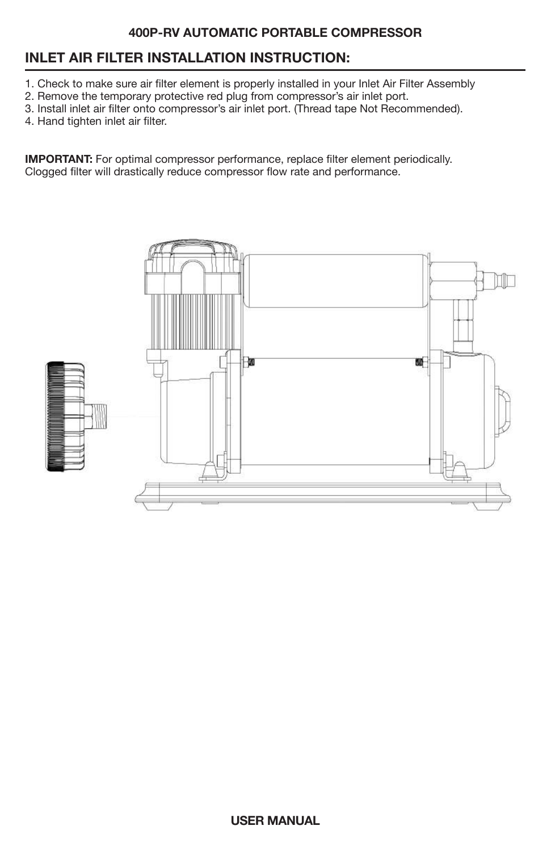## **INLET AIR FILTER INSTALLATION INSTRUCTION:**

- 1. Check to make sure air filter element is properly installed in your Inlet Air Filter Assembly
- 2. Remove the temporary protective red plug from compressor's air inlet port.
- 3. Install inlet air filter onto compressor's air inlet port. (Thread tape Not Recommended).
- 4. Hand tighten inlet air filter.

**IMPORTANT:** For optimal compressor performance, replace filter element periodically. Clogged filter will drastically reduce compressor flow rate and performance.

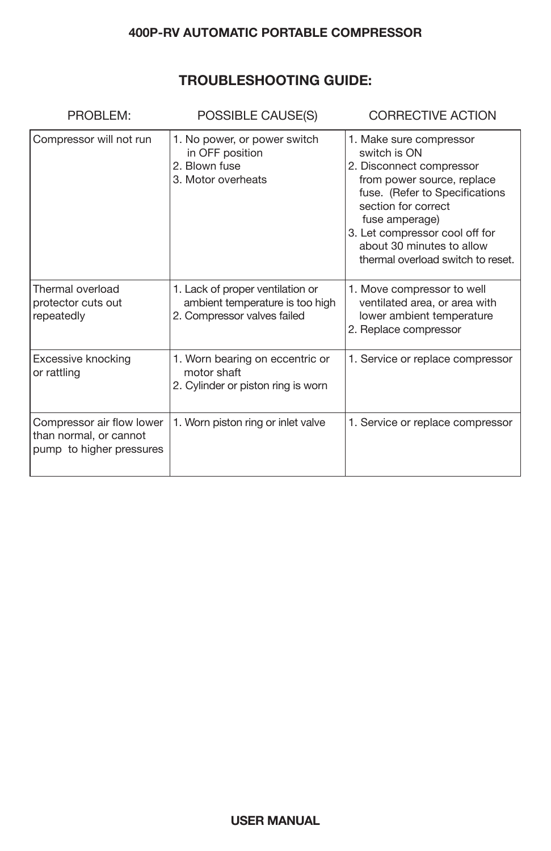## **TROUBLESHOOTING GUIDE:**

| PROBLEM:                                                                        | POSSIBLE CAUSE(S)                                                                                  | CORRECTIVE ACTION                                                                                                                                                                                                                                                                |
|---------------------------------------------------------------------------------|----------------------------------------------------------------------------------------------------|----------------------------------------------------------------------------------------------------------------------------------------------------------------------------------------------------------------------------------------------------------------------------------|
| Compressor will not run                                                         | 1. No power, or power switch<br>in OFF position<br>2. Blown fuse<br>3. Motor overheats             | 1. Make sure compressor<br>switch is ON<br>2. Disconnect compressor<br>from power source, replace<br>fuse. (Refer to Specifications<br>section for correct<br>fuse amperage)<br>3. Let compressor cool off for<br>about 30 minutes to allow<br>thermal overload switch to reset. |
| Thermal overload<br>protector cuts out<br>repeatedly                            | 1. Lack of proper ventilation or<br>ambient temperature is too high<br>2. Compressor valves failed | 1. Move compressor to well<br>ventilated area, or area with<br>lower ambient temperature<br>2. Replace compressor                                                                                                                                                                |
| Excessive knocking<br>or rattling                                               | 1. Worn bearing on eccentric or<br>motor shaft<br>2. Cylinder or piston ring is worn               | 1. Service or replace compressor                                                                                                                                                                                                                                                 |
| Compressor air flow lower<br>than normal, or cannot<br>pump to higher pressures | 1. Worn piston ring or inlet valve                                                                 | 1. Service or replace compressor                                                                                                                                                                                                                                                 |